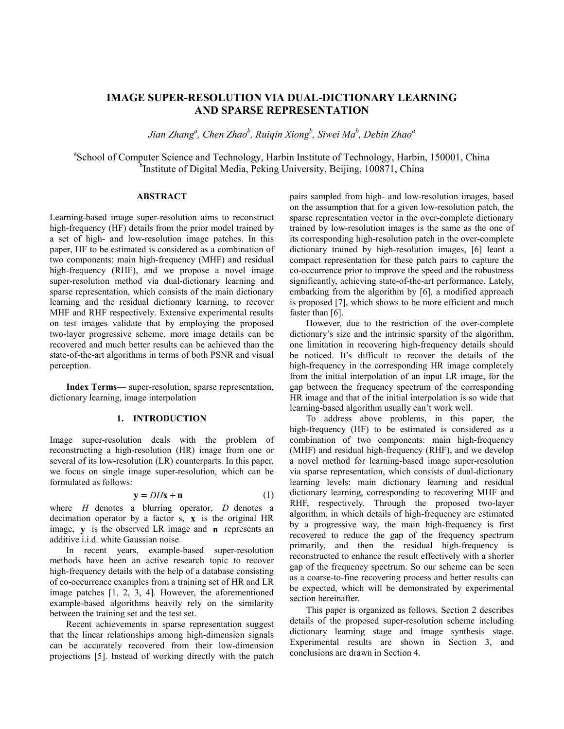# **IMAGE SUPER-RESOLUTION VIA DUAL-DICTIONARY LEARNING AND SPARSE REPRESENTATION**

 $J$ ian Zhang<sup>a</sup>, Chen Zhao<sup>b</sup>, Ruiqin Xiong<sup>b</sup>, Siwei Ma<sup>b</sup>, Debin Zhao<sup>a</sup>

<sup>a</sup>School of Computer Science and Technology, Harbin Institute of Technology, Harbin, 150001, China <sup>b</sup>Institute of Digital Media, Peking University, Beijing, 100871, China

## **ABSTRACT**

Learning-based image super-resolution aims to reconstruct high-frequency (HF) details from the prior model trained by a set of high- and low-resolution image patches. In this paper, HF to be estimated is considered as a combination of two components: main high-frequency (MHF) and residual high-frequency (RHF), and we propose a novel image super-resolution method via dual-dictionary learning and sparse representation, which consists of the main dictionary learning and the residual dictionary learning, to recover MHF and RHF respectively. Extensive experimental results on test images validate that by employing the proposed two-layer progressive scheme, more image details can be recovered and much better results can be achieved than the state-of-the-art algorithms in terms of both PSNR and visual perception.

**Index Terms—** super-resolution, sparse representation, dictionary learning, image interpolation

#### **1. INTRODUCTION**

Image super-resolution deals with the problem of reconstructing a high-resolution (HR) image from one or several of its low-resolution (LR) counterparts. In this paper, we focus on single image super-resolution, which can be formulated as follows:

$$
y = DHx + n \tag{1}
$$

where *H* denotes a blurring operator, *D* denotes a decimation operator by a factor s, **x** is the original HR image, **y** is the observed LR image and **n** represents an additive i.i.d. white Gaussian noise.

In recent years, example-based super-resolution methods have been an active research topic to recover high-frequency details with the help of a database consisting of co-occurrence examples from a training set of HR and LR image patches [1, 2, 3, 4]. However, the aforementioned example-based algorithms heavily rely on the similarity between the training set and the test set.

Recent achievements in sparse representation suggest that the linear relationships among high-dimension signals can be accurately recovered from their low-dimension projections [5]. Instead of working directly with the patch

pairs sampled from high- and low-resolution images, based on the assumption that for a given low-resolution patch, the sparse representation vector in the over-complete dictionary trained by low-resolution images is the same as the one of its corresponding high-resolution patch in the over-complete dictionary trained by high-resolution images, [6] leant a compact representation for these patch pairs to capture the co-occurrence prior to improve the speed and the robustness significantly, achieving state-of-the-art performance. Lately, embarking from the algorithm by [6], a modified approach is proposed [7], which shows to be more efficient and much faster than [6].

However, due to the restriction of the over-complete dictionary's size and the intrinsic sparsity of the algorithm, one limitation in recovering high-frequency details should be noticed. It's difficult to recover the details of the high-frequency in the corresponding HR image completely from the initial interpolation of an input LR image, for the gap between the frequency spectrum of the corresponding HR image and that of the initial interpolation is so wide that learning-based algorithm usually can't work well.

To address above problems, in this paper, the high-frequency (HF) to be estimated is considered as a combination of two components: main high-frequency (MHF) and residual high-frequency (RHF), and we develop a novel method for learning-based image super-resolution via sparse representation, which consists of dual-dictionary learning levels: main dictionary learning and residual dictionary learning, corresponding to recovering MHF and RHF, respectively. Through the proposed two-layer algorithm, in which details of high-frequency are estimated by a progressive way, the main high-frequency is first recovered to reduce the gap of the frequency spectrum primarily, and then the residual high-frequency is reconstructed to enhance the result effectively with a shorter gap of the frequency spectrum. So our scheme can be seen as a coarse-to-fine recovering process and better results can be expected, which will be demonstrated by experimental section hereinafter.

This paper is organized as follows. Section 2 describes details of the proposed super-resolution scheme including dictionary learning stage and image synthesis stage. Experimental results are shown in Section 3, and conclusions are drawn in Section 4.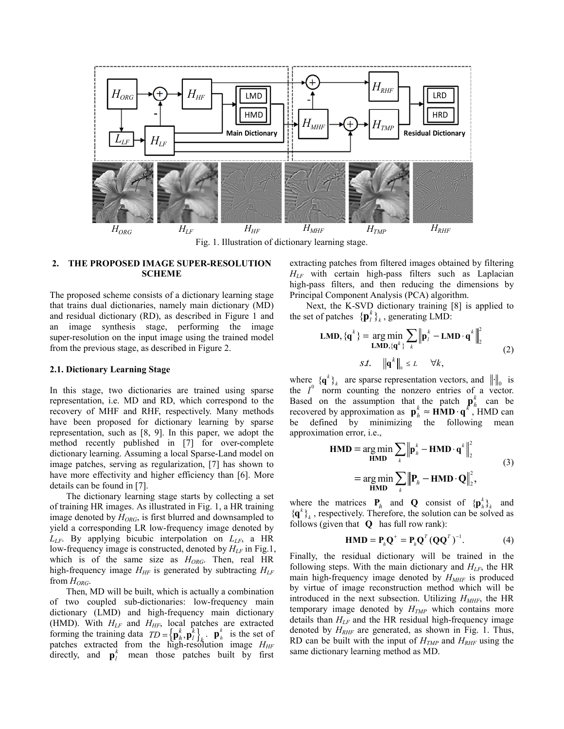

Fig. 1. Illustration of dictionary learning stage.

# **2. THE PROPOSED IMAGE SUPER-RESOLUTION SCHEME**

The proposed scheme consists of a dictionary learning stage that trains dual dictionaries, namely main dictionary (MD) and residual dictionary (RD), as described in Figure 1 and an image synthesis stage, performing the image super-resolution on the input image using the trained model from the previous stage, as described in Figure 2.

### **2.1. Dictionary Learning Stage**

In this stage, two dictionaries are trained using sparse representation, i.e. MD and RD, which correspond to the recovery of MHF and RHF, respectively. Many methods have been proposed for dictionary learning by sparse representation, such as [8, 9]. In this paper, we adopt the method recently published in [7] for over-complete dictionary learning. Assuming a local Sparse-Land model on image patches, serving as regularization, [7] has shown to have more effectivity and higher efficiency than [6]. More details can be found in [7].

The dictionary learning stage starts by collecting a set of training HR images. As illustrated in Fig. 1, a HR training image denoted by  $H<sub>ORG</sub>$ , is first blurred and downsampled to yield a corresponding LR low-frequency image denoted by  $L_{LF}$ . By applying bicubic interpolation on  $L_{LF}$ , a HR low-frequency image is constructed, denoted by  $H_{LF}$  in Fig.1, which is of the same size as *HORG*. Then, real HR high-frequency image  $H_{HF}$  is generated by subtracting  $H_{LF}$ from *HORG*.

Then, MD will be built, which is actually a combination of two coupled sub-dictionaries: low-frequency main dictionary (LMD) and high-frequency main dictionary (HMD). With  $H_{LF}$  and  $H_{HF}$ , local patches are extracted forming the training data  $TD = {\mathbf{p}_h^k, \mathbf{p}_l^k}_{k}$ .  $\mathbf{p}_h^k$  is the set of patches extracted from the high-resolution image  $H_{HF}$ directly, and  $\mathbf{p}_l^k$  mean those patches built by first extracting patches from filtered images obtained by filtering *HLF* with certain high-pass filters such as Laplacian high-pass filters, and then reducing the dimensions by Principal Component Analysis (PCA) algorithm.

Next, the K-SVD dictionary training [8] is applied to the set of patches  ${\{\bf p}_l^k\}_k$ , generating LMD:

$$
\mathbf{LMD}, \{\mathbf{q}^k\} = \underset{\mathbf{LMD}, \{\mathbf{q}^k\}}{\arg \min} \sum_{k} \left\| \mathbf{p}_l^k - \mathbf{LMD} \cdot \mathbf{q}^k \right\|_2^2
$$
\n
$$
s.t. \quad \left\| \mathbf{q}^k \right\|_0 \le L \quad \forall k,
$$
\n(2)

where  ${ {\bf q}^k \}$  are sparse representation vectors, and  $\| \cdot \|_0$  is the  $l^0$  norm counting the nonzero entries of a vector. Based on the assumption that the patch  $\mathbf{p}_h^k$  can be recovered by approximation as  $\mathbf{p}_h^k \approx \mathbf{HMD} \cdot \mathbf{q}^k$ , HMD can be defined by minimizing the following mean approximation error, i.e.,<br> $HMD = \arg m$ 

$$
\mathbf{HMD} = \underset{\mathbf{HMD}}{\arg \min} \sum_{k} \left\| \mathbf{p}_{h}^{k} - \mathbf{HMD} \cdot \mathbf{q}^{k} \right\|_{2}^{2}
$$
\n
$$
= \underset{\mathbf{HMD}}{\arg \min} \sum_{k} \left\| \mathbf{P}_{h} - \mathbf{HMD} \cdot \mathbf{Q} \right\|_{2}^{2},
$$
\n(3)

where the matrices  $P_h$  and **Q** consist of  ${\{\mathbf{p}_h^k\}}_k$  and  ${ {\{\bf q}^k \}}_k$ , respectively. Therefore, the solution can be solved as follows (given that **Q** has full row rank):

$$
\mathbf{HMD} = \mathbf{P}_h \mathbf{Q}^+ = \mathbf{P}_h \mathbf{Q}^T (\mathbf{Q} \mathbf{Q}^T)^{-1}.
$$
 (4)

Finally, the residual dictionary will be trained in the following steps. With the main dictionary and  $H_{LF}$ , the HR main high-frequency image denoted by  $H_{MHF}$  is produced by virtue of image reconstruction method which will be introduced in the next subsection. Utilizing  $H_{MHF}$ , the HR temporary image denoted by  $H_{TMP}$  which contains more details than *HLF* and the HR residual high-frequency image denoted by  $H_{RHF}$  are generated, as shown in Fig. 1. Thus, RD can be built with the input of  $H_{TMP}$  and  $H_{RHF}$  using the same dictionary learning method as MD.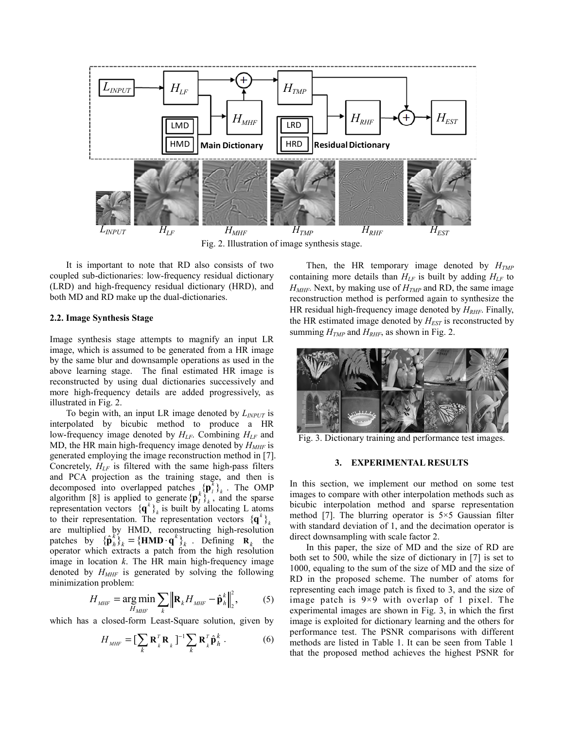

Fig. 2. Illustration of image synthesis stage.

It is important to note that RD also consists of two coupled sub-dictionaries: low-frequency residual dictionary (LRD) and high-frequency residual dictionary (HRD), and both MD and RD make up the dual-dictionaries.

## **2.2. Image Synthesis Stage**

Image synthesis stage attempts to magnify an input LR image, which is assumed to be generated from a HR image by the same blur and downsample operations as used in the above learning stage. The final estimated HR image is reconstructed by using dual dictionaries successively and more high-frequency details are added progressively, as illustrated in Fig. 2.

To begin with, an input LR image denoted by *LINPUT* is interpolated by bicubic method to produce a HR low-frequency image denoted by  $H_{LF}$ . Combining  $H_{LF}$  and MD, the HR main high-frequency image denoted by  $H_{MHF}$  is generated employing the image reconstruction method in [7]. Concretely,  $H<sub>LF</sub>$  is filtered with the same high-pass filters and PCA projection as the training stage, and then is decomposed into overlapped patches  ${}_{k} \{\mathbf{p}_{i}^{k}\}_{k}$ . The OMP algorithm [8] is applied to generate  ${\{\bf p}_i^k\}_{k}$ , and the sparse representation vectors  ${ {\bf q}^k \} _k^{\sigma}$  is built by allocating L atoms to their representation. The representation vectors  ${ {\bf q}^k \} _k$ are multiplied by HMD, reconstructing high-resolution patches by  ${\{\hat{\mathbf{p}}_h^k\}}_k = {\{\mathbf{HMD} \cdot \mathbf{q}^k\}}_k$ . Defining  $\mathbf{R}_k$  the operator which extracts a patch from the high resolution image in location *k*. The HR main high-frequency image denoted by  $H_{MHF}$  is generated by solving the following minimization problem: 2

$$
H_{\text{MHF}} = \underset{H_{\text{MHF}}}{\arg \min} \sum_{k} \left\| \mathbf{R}_{k} H_{\text{MHF}} - \hat{\mathbf{p}}_{h}^{k} \right\|_{2}^{2}, \tag{5}
$$

which has a closed-form Least-Square solution, given by

$$
H_{\text{MHF}} = \left[\sum_{k} \mathbf{R}_{k}^{T} \mathbf{R}_{k}\right]^{-1} \sum_{k} \mathbf{R}_{k}^{T} \hat{\mathbf{p}}_{h}^{k} . \tag{6}
$$

Then, the HR temporary image denoted by  $H_{TMP}$ containing more details than  $H_{LF}$  is built by adding  $H_{LF}$  to  $H<sub>MHF</sub>$ . Next, by making use of  $H<sub>TMP</sub>$  and RD, the same image reconstruction method is performed again to synthesize the HR residual high-frequency image denoted by  $H_{RHF}$ . Finally, the HR estimated image denoted by  $H_{EST}$  is reconstructed by summing  $H_{TMP}$  and  $H_{RHF}$ , as shown in Fig. 2.



Fig. 3. Dictionary training and performance test images.

#### **3. EXPERIMENTAL RESULTS**

In this section, we implement our method on some test images to compare with other interpolation methods such as bicubic interpolation method and sparse representation method [7]. The blurring operator is  $5\times 5$  Gaussian filter with standard deviation of 1, and the decimation operator is direct downsampling with scale factor 2.

In this paper, the size of MD and the size of RD are both set to 500, while the size of dictionary in [7] is set to 1000, equaling to the sum of the size of MD and the size of RD in the proposed scheme. The number of atoms for representing each image patch is fixed to 3, and the size of image patch is 9×9 with overlap of 1 pixel. The experimental images are shown in Fig. 3, in which the first image is exploited for dictionary learning and the others for performance test. The PSNR comparisons with different methods are listed in Table 1. It can be seen from Table 1 that the proposed method achieves the highest PSNR for